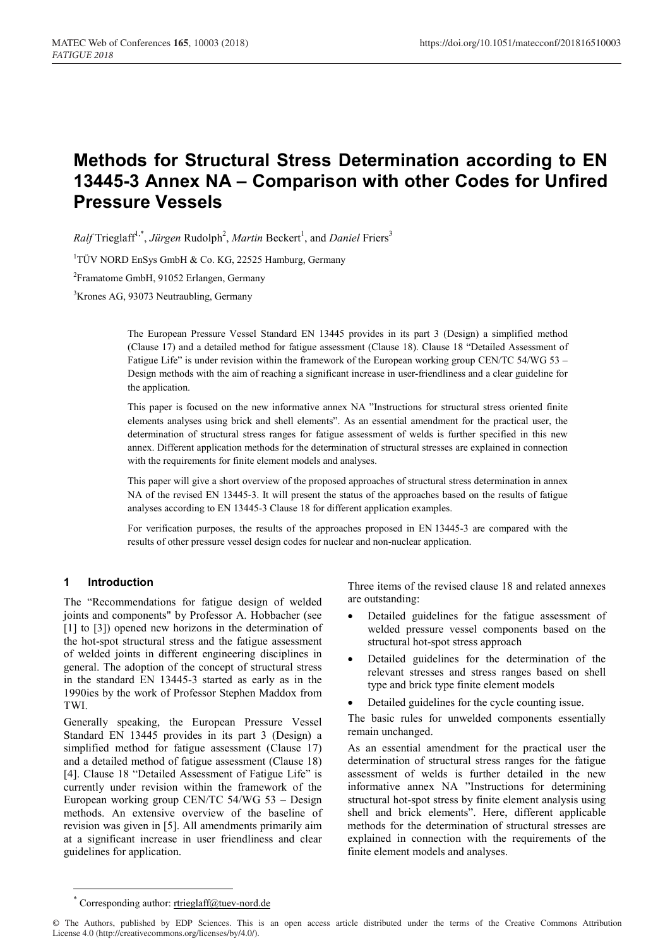# **Methods for Structural Stress Determination according to EN 13445-3 Annex NA – Comparison with other Codes for Unfired Pressure Vessels**

 $Ralf$  Trieglaff<sup>1,\*</sup>, *Jürgen* Rudolph<sup>2</sup>, *Martin* Beckert<sup>1</sup>, and *Daniel* Friers<sup>3</sup>

<sup>1</sup>TÜV NORD EnSys GmbH & Co. KG, 22525 Hamburg, Germany

<sup>2</sup> Framatome GmbH, 91052 Erlangen, Germany

3 Krones AG, 93073 Neutraubling, Germany

The European Pressure Vessel Standard EN 13445 provides in its part 3 (Design) a simplified method (Clause 17) and a detailed method for fatigue assessment (Clause 18). Clause 18 "Detailed Assessment of Fatigue Life" is under revision within the framework of the European working group CEN/TC 54/WG 53 – Design methods with the aim of reaching a significant increase in user-friendliness and a clear guideline for the application.

This paper is focused on the new informative annex NA "Instructions for structural stress oriented finite elements analyses using brick and shell elements". As an essential amendment for the practical user, the determination of structural stress ranges for fatigue assessment of welds is further specified in this new annex. Different application methods for the determination of structural stresses are explained in connection with the requirements for finite element models and analyses.

This paper will give a short overview of the proposed approaches of structural stress determination in annex NA of the revised EN 13445-3. It will present the status of the approaches based on the results of fatigue analyses according to EN 13445-3 Clause 18 for different application examples.

For verification purposes, the results of the approaches proposed in EN 13445-3 are compared with the results of other pressure vessel design codes for nuclear and non-nuclear application.

# **1 Introduction**

The "Recommendations for fatigue design of welded joints and components" by Professor A. Hobbacher (see [1] to [3]) opened new horizons in the determination of the hot-spot structural stress and the fatigue assessment of welded joints in different engineering disciplines in general. The adoption of the concept of structural stress in the standard EN 13445-3 started as early as in the 1990ies by the work of Professor Stephen Maddox from TWI.

Generally speaking, the European Pressure Vessel Standard EN 13445 provides in its part 3 (Design) a simplified method for fatigue assessment (Clause 17) and a detailed method of fatigue assessment (Clause 18) [4]. Clause 18 "Detailed Assessment of Fatigue Life" is currently under revision within the framework of the European working group CEN/TC 54/WG 53 – Design methods. An extensive overview of the baseline of revision was given in [5]. All amendments primarily aim at a significant increase in user friendliness and clear guidelines for application.

Three items of the revised clause 18 and related annexes are outstanding:

- Detailed guidelines for the fatigue assessment of welded pressure vessel components based on the structural hot-spot stress approach
- Detailed guidelines for the determination of the relevant stresses and stress ranges based on shell type and brick type finite element models
- Detailed guidelines for the cycle counting issue.

The basic rules for unwelded components essentially remain unchanged.

As an essential amendment for the practical user the determination of structural stress ranges for the fatigue assessment of welds is further detailed in the new informative annex NA "Instructions for determining structural hot-spot stress by finite element analysis using shell and brick elements". Here, different applicable methods for the determination of structural stresses are explained in connection with the requirements of the finite element models and analyses.

<sup>\*</sup> Corresponding author: rtrieglaff@tuev-nord.de

<sup>©</sup> The Authors, published by EDP Sciences. This is an open access article distributed under the terms of the Creative Commons Attribution License 4.0 (http://creativecommons.org/licenses/by/4.0/).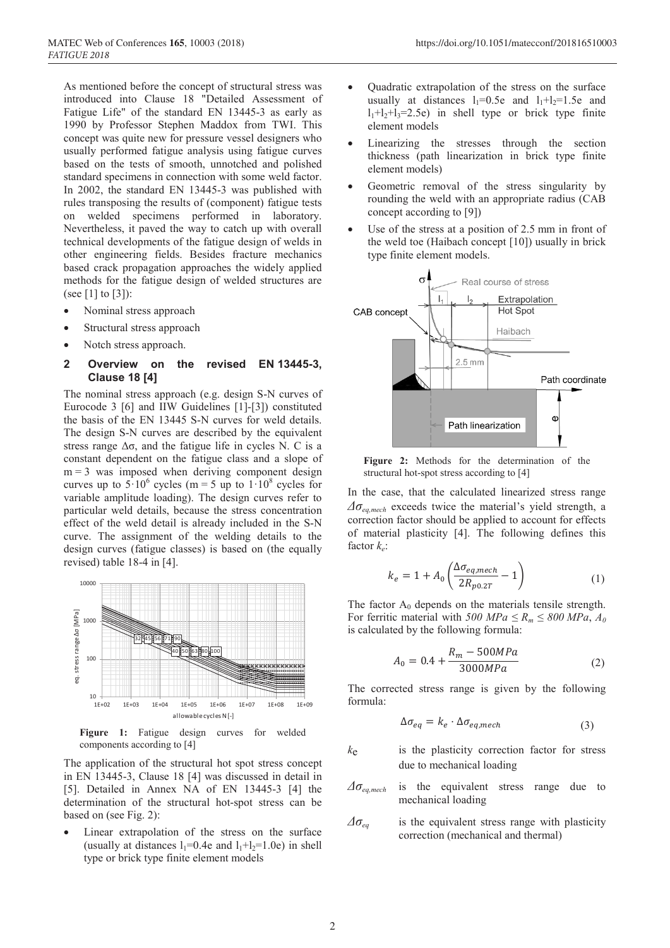As mentioned before the concept of structural stress was introduced into Clause 18 "Detailed Assessment of Fatigue Life" of the standard EN 13445-3 as early as 1990 by Professor Stephen Maddox from TWI. This concept was quite new for pressure vessel designers who usually performed fatigue analysis using fatigue curves based on the tests of smooth, unnotched and polished standard specimens in connection with some weld factor. In 2002, the standard EN 13445-3 was published with rules transposing the results of (component) fatigue tests on welded specimens performed in laboratory. Nevertheless, it paved the way to catch up with overall technical developments of the fatigue design of welds in other engineering fields. Besides fracture mechanics based crack propagation approaches the widely applied methods for the fatigue design of welded structures are (see [1] to [3]):

- Nominal stress approach
- Structural stress approach
- Notch stress approach.

# **2 Overview on the revised EN 13445-3, Clause 18 [4]**

The nominal stress approach (e.g. design S-N curves of Eurocode 3 [6] and IIW Guidelines [1]-[3]) constituted the basis of the EN 13445 S-N curves for weld details. The design S-N curves are described by the equivalent stress range  $\Delta\sigma$ , and the fatigue life in cycles N. C is a constant dependent on the fatigue class and a slope of  $m = 3$  was imposed when deriving component design curves up to  $5 \cdot 10^6$  cycles (m = 5 up to  $1 \cdot 10^8$  cycles for variable amplitude loading). The design curves refer to particular weld details, because the stress concentration effect of the weld detail is already included in the S-N curve. The assignment of the welding details to the design curves (fatigue classes) is based on (the equally revised) table 18-4 in [4].



Figure 1: Fatigue design curves for welded components according to [4]

The application of the structural hot spot stress concept in EN 13445-3, Clause 18 [4] was discussed in detail in [5]. Detailed in Annex NA of EN 13445-3 [4] the determination of the structural hot-spot stress can be based on (see Fig. 2):

Linear extrapolation of the stress on the surface (usually at distances  $l_1=0.4e$  and  $l_1+l_2=1.0e$ ) in shell type or brick type finite element models

- Quadratic extrapolation of the stress on the surface usually at distances  $l_1=0.5e$  and  $l_1+l_2=1.5e$  and  $l_1+l_2+l_3=2.5e$  in shell type or brick type finite element models
- Linearizing the stresses through the section thickness (path linearization in brick type finite element models)
- Geometric removal of the stress singularity by rounding the weld with an appropriate radius (CAB concept according to [9])
- Use of the stress at a position of 2.5 mm in front of the weld toe (Haibach concept [10]) usually in brick type finite element models.



**Figure 2:** Methods for the determination of the structural hot-spot stress according to [4]

In the case, that the calculated linearized stress range *Δσeq,mech* exceeds twice the material's yield strength, a correction factor should be applied to account for effects of material plasticity [4]. The following defines this factor *ke*:

$$
k_e = 1 + A_0 \left( \frac{\Delta \sigma_{eq,mech}}{2R_{p0.2T}} - 1 \right)
$$
 (1)

The factor  $A_0$  depends on the materials tensile strength. For ferritic material with *500 MPa*  $\le R_m \le 800$  *MPa*,  $A_0$ is calculated by the following formula:

$$
A_0 = 0.4 + \frac{R_m - 500MPa}{3000MPa} \tag{2}
$$

The corrected stress range is given by the following formula:

$$
\Delta \sigma_{eq} = k_e \cdot \Delta \sigma_{eq,mech} \tag{3}
$$

- *k*e is the plasticity correction factor for stress due to mechanical loading
- *Δσeq,mech* is the equivalent stress range due to mechanical loading
- $\Delta\sigma_{ea}$  is the equivalent stress range with plasticity correction (mechanical and thermal)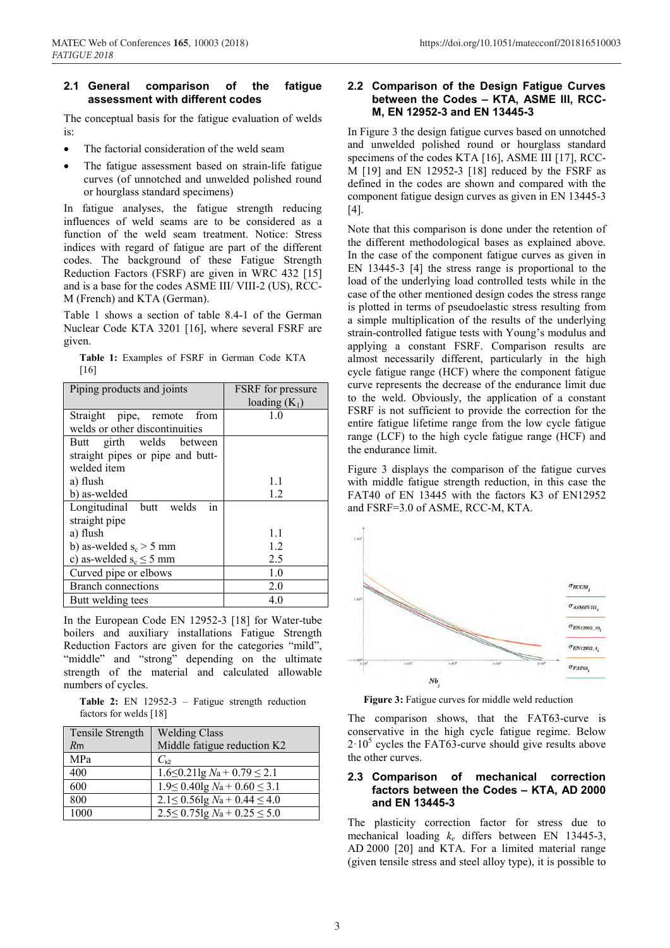### **2.1 General comparison of the fatigue assessment with different codes**

The conceptual basis for the fatigue evaluation of welds is:

- The factorial consideration of the weld seam
- The fatigue assessment based on strain-life fatigue curves (of unnotched and unwelded polished round or hourglass standard specimens)

In fatigue analyses, the fatigue strength reducing influences of weld seams are to be considered as a function of the weld seam treatment. Notice: Stress indices with regard of fatigue are part of the different codes. The background of these Fatigue Strength Reduction Factors (FSRF) are given in WRC 432 [15] and is a base for the codes ASME III/ VIII-2 (US), RCC-M (French) and KTA (German).

Table 1 shows a section of table 8.4-1 of the German Nuclear Code KTA 3201 [16], where several FSRF are given.

**Table 1:** Examples of FSRF in German Code KTA [16]

| Piping products and joints       | <b>FSRF</b> for pressure |
|----------------------------------|--------------------------|
|                                  | loading $(K_1)$          |
| Straight pipe, remote<br>from    | 1.0                      |
| welds or other discontinuities   |                          |
| Butt girth welds between         |                          |
| straight pipes or pipe and butt- |                          |
| welded item                      |                          |
| a) flush                         | 1.1                      |
| b) as-welded                     | 1.2                      |
| Longitudinal butt welds<br>ın    |                          |
| straight pipe                    |                          |
| a) flush                         | 1.1                      |
| b) as-welded $s_c > 5$ mm        | 1.2                      |
| c) as-welded $s_c \le 5$ mm      | 2.5                      |
| Curved pipe or elbows            | 1.0                      |
| <b>Branch connections</b>        | 2.0                      |
| Butt welding tees                | 4.0                      |

In the European Code EN 12952-3 [18] for Water-tube boilers and auxiliary installations Fatigue Strength Reduction Factors are given for the categories "mild", "middle" and "strong" depending on the ultimate strength of the material and calculated allowable numbers of cycles.

**Table 2:** EN 12952-3 – Fatigue strength reduction factors for welds [18]

| <b>Tensile Strength</b> | <b>Welding Class</b>                  |
|-------------------------|---------------------------------------|
| Rm                      | Middle fatigue reduction K2           |
| MPa                     | $C_{k2}$                              |
| 400                     | $1.6 \le 0.21 \lg N_a + 0.79 \le 2.1$ |
| 600                     | $1.9 \le 0.40$ lg $Na + 0.60 \le 3.1$ |
| 800                     | $2.1 \le 0.56 \lg N_a + 0.44 \le 4.0$ |
| 1000                    | $2.5 \le 0.75$ lg $Na + 0.25 \le 5.0$ |

### MATEC Web of Conferences **165**, 10003 (2018) https://doi.org/10.1051/matecconf/201816510003

# **2.2 Comparison of the Design Fatigue Curves between the Codes – KTA, ASME III, RCC-M, EN 12952-3 and EN 13445-3**

In Figure 3 the design fatigue curves based on unnotched and unwelded polished round or hourglass standard specimens of the codes KTA [16], ASME III [17], RCC-M [19] and EN 12952-3 [18] reduced by the FSRF as defined in the codes are shown and compared with the component fatigue design curves as given in EN 13445-3 [4].

Note that this comparison is done under the retention of the different methodological bases as explained above. In the case of the component fatigue curves as given in EN 13445-3 [4] the stress range is proportional to the load of the underlying load controlled tests while in the case of the other mentioned design codes the stress range is plotted in terms of pseudoelastic stress resulting from a simple multiplication of the results of the underlying strain-controlled fatigue tests with Young's modulus and applying a constant FSRF. Comparison results are almost necessarily different, particularly in the high cycle fatigue range (HCF) where the component fatigue curve represents the decrease of the endurance limit due to the weld. Obviously, the application of a constant FSRF is not sufficient to provide the correction for the entire fatigue lifetime range from the low cycle fatigue range (LCF) to the high cycle fatigue range (HCF) and the endurance limit.

Figure 3 displays the comparison of the fatigue curves with middle fatigue strength reduction, in this case the FAT40 of EN 13445 with the factors K3 of EN12952 and FSRF=3.0 of ASME, RCC-M, KTA.



**Figure 3:** Fatigue curves for middle weld reduction

The comparison shows, that the FAT63-curve is conservative in the high cycle fatigue regime. Below  $2 \cdot 10^5$  cycles the FAT63-curve should give results above the other curves.

# **2.3 Comparison of mechanical correction factors between the Codes – KTA, AD 2000 and EN 13445-3**

The plasticity correction factor for stress due to mechanical loading *ke* differs between EN 13445-3, AD 2000 [20] and KTA. For a limited material range (given tensile stress and steel alloy type), it is possible to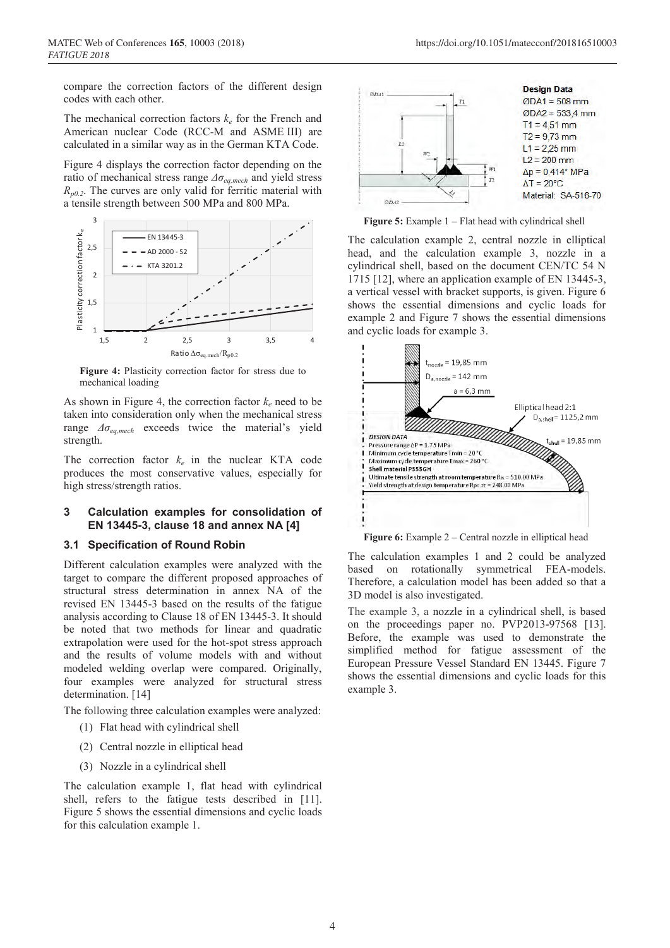compare the correction factors of the different design codes with each other.

The mechanical correction factors  $k_e$  for the French and American nuclear Code (RCC-M and ASME III) are calculated in a similar way as in the German KTA Code.

Figure 4 displays the correction factor depending on the ratio of mechanical stress range *Δσeq,mech* and yield stress  $R_{p0.2}$ . The curves are only valid for ferritic material with a tensile strength between 500 MPa and 800 MPa.



**Figure 4:** Plasticity correction factor for stress due to mechanical loading

As shown in Figure 4, the correction factor  $k_e$  need to be taken into consideration only when the mechanical stress range *Δσeq,mech* exceeds twice the material's yield strength.

The correction factor  $k_e$  in the nuclear KTA code produces the most conservative values, especially for high stress/strength ratios.

# **3 Calculation examples for consolidation of EN 13445-3, clause 18 and annex NA [4]**

### **3.1 Specification of Round Robin**

Different calculation examples were analyzed with the target to compare the different proposed approaches of structural stress determination in annex NA of the revised EN 13445-3 based on the results of the fatigue analysis according to Clause 18 of EN 13445-3. It should be noted that two methods for linear and quadratic extrapolation were used for the hot-spot stress approach and the results of volume models with and without modeled welding overlap were compared. Originally, four examples were analyzed for structural stress determination. [14]

The following three calculation examples were analyzed:

- (1) Flat head with cylindrical shell
- (2) Central nozzle in elliptical head
- (3) Nozzle in a cylindrical shell

The calculation example 1, flat head with cylindrical shell, refers to the fatigue tests described in [11]. Figure 5 shows the essential dimensions and cyclic loads for this calculation example 1.



**Figure 5:** Example 1 – Flat head with cylindrical shell

The calculation example 2, central nozzle in elliptical head, and the calculation example 3, nozzle in a cylindrical shell, based on the document CEN/TC 54 N 1715 [12], where an application example of EN 13445-3, a vertical vessel with bracket supports, is given. Figure 6 shows the essential dimensions and cyclic loads for example 2 and Figure 7 shows the essential dimensions and cyclic loads for example 3.



**Figure 6:** Example 2 – Central nozzle in elliptical head

The calculation examples 1 and 2 could be analyzed based on rotationally symmetrical FEA-models. Therefore, a calculation model has been added so that a 3D model is also investigated.

The example 3, a nozzle in a cylindrical shell, is based on the proceedings paper no. PVP2013-97568 [13]. Before, the example was used to demonstrate the simplified method for fatigue assessment of the European Pressure Vessel Standard EN 13445. Figure 7 shows the essential dimensions and cyclic loads for this example 3.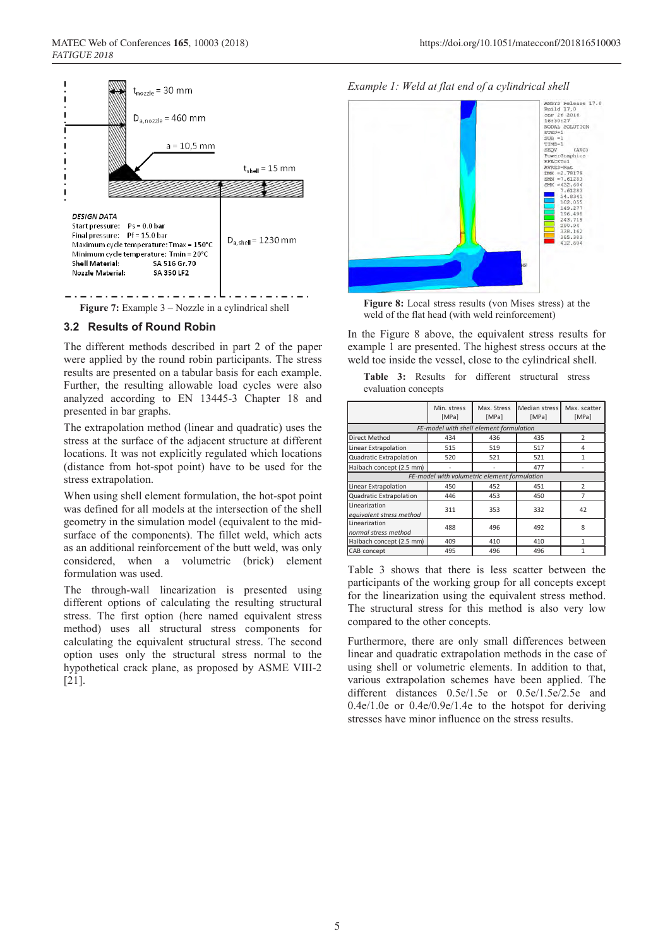

**Figure 7:** Example 3 – Nozzle in a cylindrical shell

### **3.2 Results of Round Robin**

The different methods described in part 2 of the paper were applied by the round robin participants. The stress results are presented on a tabular basis for each example. Further, the resulting allowable load cycles were also analyzed according to EN 13445-3 Chapter 18 and presented in bar graphs.

The extrapolation method (linear and quadratic) uses the stress at the surface of the adjacent structure at different locations. It was not explicitly regulated which locations (distance from hot-spot point) have to be used for the stress extrapolation.

When using shell element formulation, the hot-spot point was defined for all models at the intersection of the shell geometry in the simulation model (equivalent to the midsurface of the components). The fillet weld, which acts as an additional reinforcement of the butt weld, was only considered, when a volumetric (brick) element formulation was used.

The through-wall linearization is presented using different options of calculating the resulting structural stress. The first option (here named equivalent stress method) uses all structural stress components for calculating the equivalent structural stress. The second option uses only the structural stress normal to the hypothetical crack plane, as proposed by ASME VIII-2 [21].





**Figure 8:** Local stress results (von Mises stress) at the weld of the flat head (with weld reinforcement)

In the Figure 8 above, the equivalent stress results for example 1 are presented. The highest stress occurs at the weld toe inside the vessel, close to the cylindrical shell.

**Table 3:** Results for different structural stress evaluation concepts

|                                              | Min. stress<br>[MPa]                    | Max. Stress<br><b>[MPa]</b> | Median stress<br><b>[MPa]</b> | Max. scatter<br>[MPa] |
|----------------------------------------------|-----------------------------------------|-----------------------------|-------------------------------|-----------------------|
|                                              | FE-model with shell element formulation |                             |                               |                       |
| Direct Method                                | 434                                     | 436                         | 435                           | $\overline{2}$        |
| Linear Extrapolation                         | 515                                     | 519                         | 517                           | 4                     |
| Quadratic Extrapolation                      | 520                                     | 521                         | 521                           | 1                     |
| Haibach concept (2.5 mm)                     |                                         |                             | 477                           |                       |
| FE-model with volumetric element formulation |                                         |                             |                               |                       |
| Linear Extrapolation                         | 450                                     | 452                         | 451                           | $\overline{2}$        |
| Quadratic Extrapolation                      | 446                                     | 453                         | 450                           | 7                     |
| Linearization<br>equivalent stress method    | 311                                     | 353                         | 332                           | 42                    |
| Linearization<br>normal stress method        | 488                                     | 496                         | 492                           | 8                     |
| Haibach concept (2.5 mm)                     | 409                                     | 410                         | 410                           | 1                     |
| CAB concept                                  | 495                                     | 496                         | 496                           | 1                     |

Table 3 shows that there is less scatter between the participants of the working group for all concepts except for the linearization using the equivalent stress method. The structural stress for this method is also very low compared to the other concepts.

Furthermore, there are only small differences between linear and quadratic extrapolation methods in the case of using shell or volumetric elements. In addition to that, various extrapolation schemes have been applied. The different distances 0.5e/1.5e or 0.5e/1.5e/2.5e and 0.4e/1.0e or 0.4e/0.9e/1.4e to the hotspot for deriving stresses have minor influence on the stress results.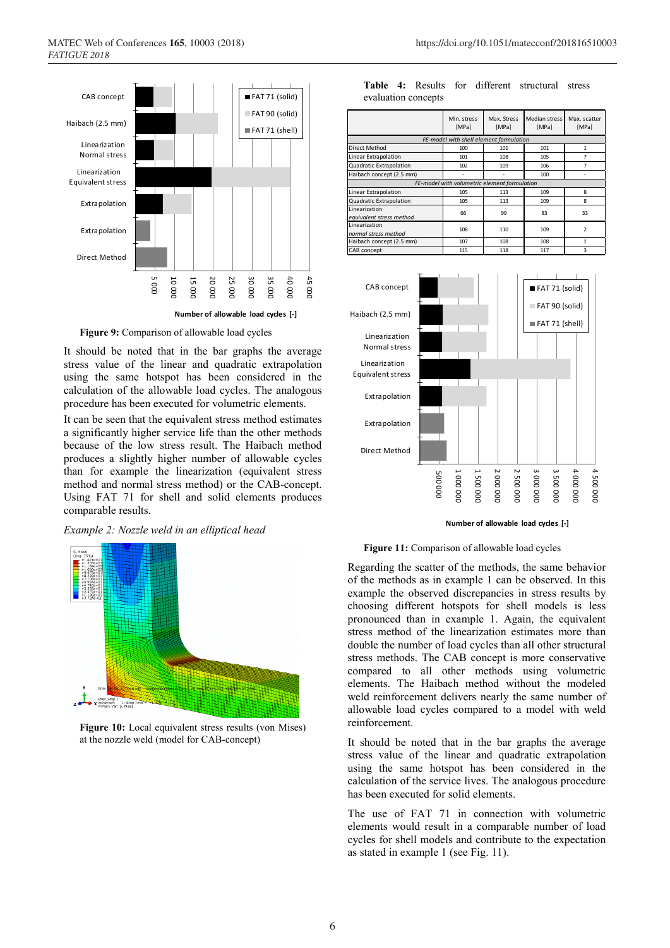

**Figure 9:** Comparison of allowable load cycles

It should be noted that in the bar graphs the average stress value of the linear and quadratic extrapolation using the same hotspot has been considered in the calculation of the allowable load cycles. The analogous procedure has been executed for volumetric elements.

It can be seen that the equivalent stress method estimates a significantly higher service life than the other methods because of the low stress result. The Haibach method produces a slightly higher number of allowable cycles than for example the linearization (equivalent stress method and normal stress method) or the CAB-concept. Using FAT 71 for shell and solid elements produces comparable results.

*Example 2: Nozzle weld in an elliptical head*



**Figure 10:** Local equivalent stress results (von Mises) at the nozzle weld (model for CAB-concept)

|                                           | Min. stress<br>[MPa]                         | Max. Stress<br>[MPa] | Median stress<br>[MPa] | Max. scatter<br>[MPa]    |
|-------------------------------------------|----------------------------------------------|----------------------|------------------------|--------------------------|
|                                           | FE-model with shell element formulation      |                      |                        |                          |
| <b>Direct Method</b>                      | 100                                          | 101                  | 101                    | 1                        |
| Linear Extrapolation                      | 101                                          | 108                  | 105                    | 7                        |
| Quadratic Extrapolation                   | 102                                          | 109                  | 106                    | 7                        |
| Haibach concept (2.5 mm)                  |                                              |                      | 100                    |                          |
|                                           | FE-model with volumetric element formulation |                      |                        |                          |
| Linear Extrapolation                      | 105                                          | 113                  | 109                    | 8                        |
| Quadratic Extrapolation                   | 105                                          | 113                  | 109                    | 8                        |
| Linearization<br>equivalent stress method | 66                                           | 99                   | 83                     | 33                       |
| Linearization<br>normal stress method     | 108                                          | 110                  | 109                    | $\overline{\phantom{a}}$ |
| Haibach concept (2.5 mm)                  | 107                                          | 108                  | 108                    | 1                        |
| CAB concept                               | 115                                          | 118                  | 117                    | 3                        |

**Table 4:** Results for different structural stress evaluation concepts



#### **Number of allowable load cycles [-]**

### **Figure 11:** Comparison of allowable load cycles

Regarding the scatter of the methods, the same behavior of the methods as in example 1 can be observed. In this example the observed discrepancies in stress results by choosing different hotspots for shell models is less pronounced than in example 1. Again, the equivalent stress method of the linearization estimates more than double the number of load cycles than all other structural stress methods. The CAB concept is more conservative compared to all other methods using volumetric elements. The Haibach method without the modeled weld reinforcement delivers nearly the same number of allowable load cycles compared to a model with weld reinforcement.

It should be noted that in the bar graphs the average stress value of the linear and quadratic extrapolation using the same hotspot has been considered in the calculation of the service lives. The analogous procedure has been executed for solid elements.

The use of FAT 71 in connection with volumetric elements would result in a comparable number of load cycles for shell models and contribute to the expectation as stated in example 1 (see Fig. 11).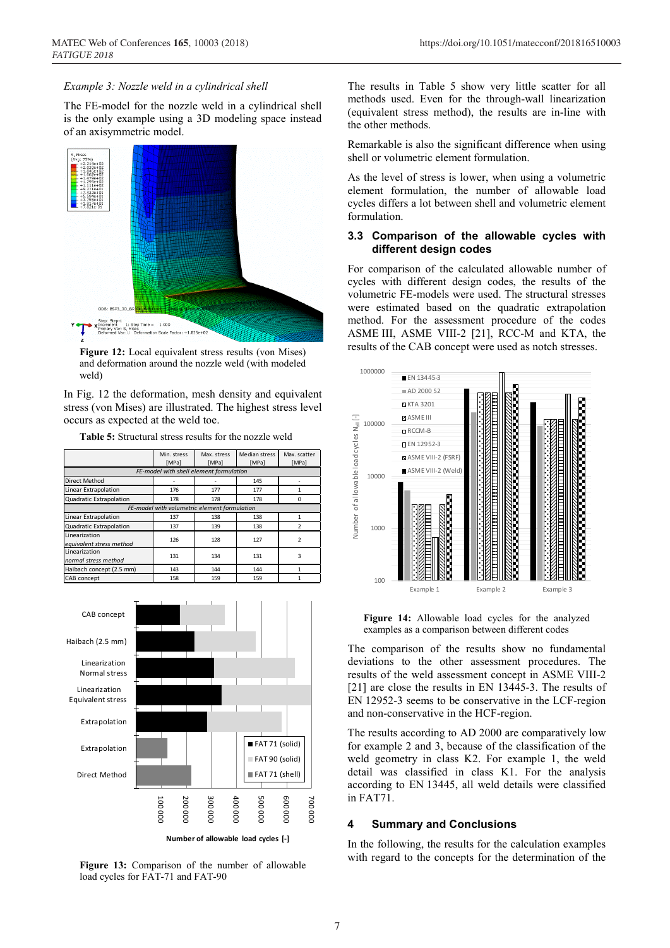### *Example 3: Nozzle weld in a cylindrical shell*

The FE-model for the nozzle weld in a cylindrical shell is the only example using a 3D modeling space instead of an axisymmetric model.



**Figure 12:** Local equivalent stress results (von Mises) and deformation around the nozzle weld (with modeled weld)

In Fig. 12 the deformation, mesh density and equivalent stress (von Mises) are illustrated. The highest stress level occurs as expected at the weld toe.

**Table 5:** Structural stress results for the nozzle weld

|                                              | Min. stress | Max. stress | Median stress | Max. scatter  |
|----------------------------------------------|-------------|-------------|---------------|---------------|
|                                              | [MPa]       | [MPa]       | [MPa]         | [MPa]         |
| FE-model with shell element formulation      |             |             |               |               |
| <b>Direct Method</b>                         |             |             | 145           |               |
| Linear Extrapolation                         | 176         | 177         | 177           | 1             |
| Quadratic Extrapolation                      | 178         | 178         | 178           | O             |
| FE-model with volumetric element formulation |             |             |               |               |
| Linear Extrapolation                         | 137         | 138         | 138           | 1             |
| Quadratic Extrapolation                      | 137         | 139         | 138           | 2             |
| Linearization                                | 126         | 128         | 127           | $\mathfrak z$ |
| equivalent stress method                     |             |             |               |               |
| Linearization                                | 131         | 134         | 131           | 3             |
| normal stress method                         |             |             |               |               |
| Haibach concept (2.5 mm)                     | 143         | 144         | 144           |               |
| <b>CAB</b> concept                           | 158         | 159         | 159           |               |



**Figure 13:** Comparison of the number of allowable load cycles for FAT-71 and FAT-90

The results in Table 5 show very little scatter for all methods used. Even for the through-wall linearization (equivalent stress method), the results are in-line with the other methods.

Remarkable is also the significant difference when using shell or volumetric element formulation.

As the level of stress is lower, when using a volumetric element formulation, the number of allowable load cycles differs a lot between shell and volumetric element formulation.

### **3.3 Comparison of the allowable cycles with different design codes**

For comparison of the calculated allowable number of cycles with different design codes, the results of the volumetric FE-models were used. The structural stresses were estimated based on the quadratic extrapolation method. For the assessment procedure of the codes ASME III, ASME VIII-2 [21], RCC-M and KTA, the results of the CAB concept were used as notch stresses.



**Figure 14:** Allowable load cycles for the analyzed examples as a comparison between different codes

The comparison of the results show no fundamental deviations to the other assessment procedures. The results of the weld assessment concept in ASME VIII-2 [21] are close the results in EN 13445-3. The results of EN 12952-3 seems to be conservative in the LCF-region and non-conservative in the HCF-region.

The results according to AD 2000 are comparatively low for example 2 and 3, because of the classification of the weld geometry in class K2. For example 1, the weld detail was classified in class K1. For the analysis according to EN 13445, all weld details were classified in FAT71.

### **4 Summary and Conclusions**

In the following, the results for the calculation examples with regard to the concepts for the determination of the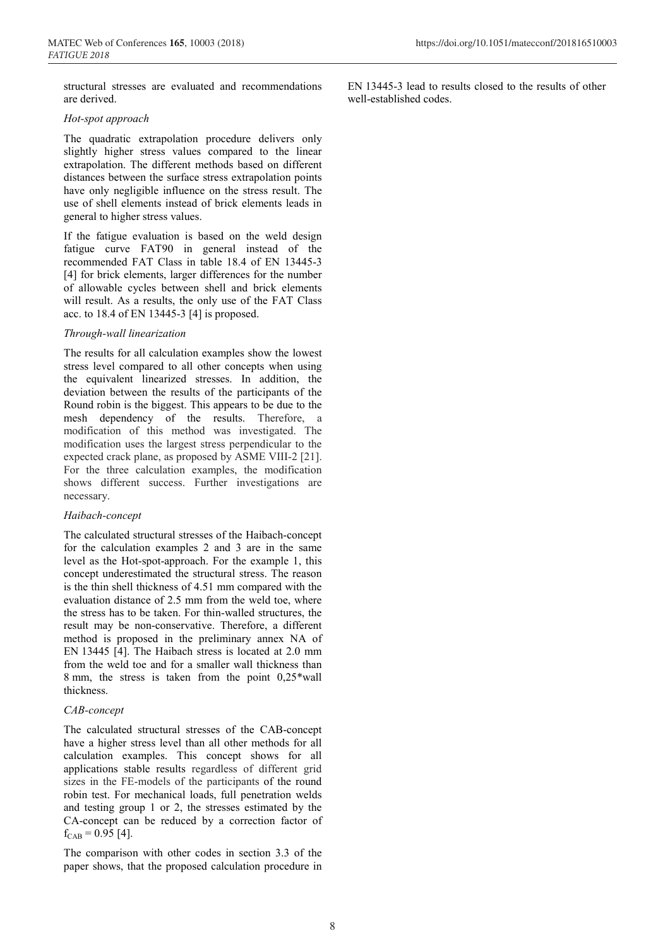structural stresses are evaluated and recommendations are derived.

### *Hot-spot approach*

The quadratic extrapolation procedure delivers only slightly higher stress values compared to the linear extrapolation. The different methods based on different distances between the surface stress extrapolation points have only negligible influence on the stress result. The use of shell elements instead of brick elements leads in general to higher stress values.

If the fatigue evaluation is based on the weld design fatigue curve FAT90 in general instead of the recommended FAT Class in table 18.4 of EN 13445-3 [4] for brick elements, larger differences for the number of allowable cycles between shell and brick elements will result. As a results, the only use of the FAT Class acc. to 18.4 of EN 13445-3 [4] is proposed.

# *Through-wall linearization*

The results for all calculation examples show the lowest stress level compared to all other concepts when using the equivalent linearized stresses. In addition, the deviation between the results of the participants of the Round robin is the biggest. This appears to be due to the mesh dependency of the results. Therefore, a modification of this method was investigated. The modification uses the largest stress perpendicular to the expected crack plane, as proposed by ASME VIII-2 [21]. For the three calculation examples, the modification shows different success. Further investigations are necessary.

# *Haibach-concept*

The calculated structural stresses of the Haibach-concept for the calculation examples 2 and 3 are in the same level as the Hot-spot-approach. For the example 1, this concept underestimated the structural stress. The reason is the thin shell thickness of 4.51 mm compared with the evaluation distance of 2.5 mm from the weld toe, where the stress has to be taken. For thin-walled structures, the result may be non-conservative. Therefore, a different method is proposed in the preliminary annex NA of EN 13445 [4]. The Haibach stress is located at 2.0 mm from the weld toe and for a smaller wall thickness than 8 mm, the stress is taken from the point 0,25\*wall thickness.

# *CAB-concept*

The calculated structural stresses of the CAB-concept have a higher stress level than all other methods for all calculation examples. This concept shows for all applications stable results regardless of different grid sizes in the FE-models of the participants of the round robin test. For mechanical loads, full penetration welds and testing group 1 or 2, the stresses estimated by the CA-concept can be reduced by a correction factor of  $f_{\text{CAB}} = 0.95$  [4].

The comparison with other codes in section 3.3 of the paper shows, that the proposed calculation procedure in EN 13445-3 lead to results closed to the results of other well-established codes.